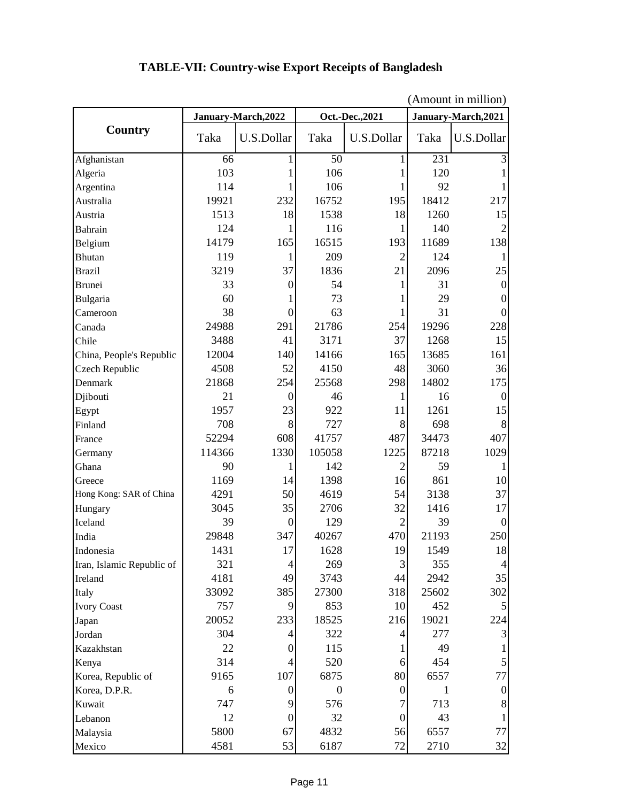|                           | (Amount in million) |                  |                  |                |                     |                |
|---------------------------|---------------------|------------------|------------------|----------------|---------------------|----------------|
| <b>Country</b>            | January-March, 2022 |                  | Oct.-Dec., 2021  |                | January-March, 2021 |                |
|                           | Taka                | U.S.Dollar       | Taka             | U.S.Dollar     | Taka                | U.S.Dollar     |
| Afghanistan               | 66                  | 1                | $\overline{50}$  | 1              | $\overline{231}$    | 3              |
| Algeria                   | 103                 |                  | 106              | 1              | 120                 |                |
| Argentina                 | 114                 | 1                | 106              | 1              | 92                  | 1              |
| Australia                 | 19921               | 232              | 16752            | 195            | 18412               | 217            |
| Austria                   | 1513                | 18               | 1538             | 18             | 1260                | 15             |
| Bahrain                   | 124                 | 1                | 116              |                | 140                 | $\overline{2}$ |
| Belgium                   | 14179               | 165              | 16515            | 193            | 11689               | 138            |
| <b>Bhutan</b>             | 119                 | 1                | 209              | $\overline{2}$ | 124                 | 1              |
| <b>Brazil</b>             | 3219                | 37               | 1836             | 21             | 2096                | 25             |
| <b>Brunei</b>             | 33                  | $\theta$         | 54               | 1              | 31                  | $\Omega$       |
| Bulgaria                  | 60                  | 1                | 73               |                | 29                  | $\Omega$       |
| Cameroon                  | 38                  | $\overline{0}$   | 63               | 1              | 31                  | 0              |
| Canada                    | 24988               | 291              | 21786            | 254            | 19296               | 228            |
| Chile                     | 3488                | 41               | 3171             | 37             | 1268                | 15             |
| China, People's Republic  | 12004               | 140              | 14166            | 165            | 13685               | 161            |
| Czech Republic            | 4508                | 52               | 4150             | 48             | 3060                | 36             |
| Denmark                   | 21868               | 254              | 25568            | 298            | 14802               | 175            |
| Djibouti                  | 21                  | $\overline{0}$   | 46               | 1              | 16                  | $\theta$       |
| Egypt                     | 1957                | 23               | 922              | 11             | 1261                | 15             |
| Finland                   | 708                 | 8                | 727              | 8              | 698                 | 8              |
| France                    | 52294               | 608              | 41757            | 487            | 34473               | 407            |
| Germany                   | 114366              | 1330             | 105058           | 1225           | 87218               | 1029           |
| Ghana                     | 90                  | 1                | 142              | 2              | 59                  | 1              |
| Greece                    | 1169                | 14               | 1398             | 16             | 861                 | 10             |
| Hong Kong: SAR of China   | 4291                | 50               | 4619             | 54             | 3138                | 37             |
| Hungary                   | 3045                | 35               | 2706             | 32             | 1416                | 17             |
| Iceland                   | 39                  | $\theta$         | 129              | $\overline{2}$ | 39                  | $\Omega$       |
| India                     | 29848               | 347              | 40267            | 470            | 21193               | 250            |
| Indonesia                 | 1431                | 17               | 1628             | 19             | 1549                | 18             |
| Iran, Islamic Republic of | 321                 | $\overline{4}$   | 269              | $\mathfrak{Z}$ | 355                 | $\overline{4}$ |
| Ireland                   | 4181                | 49               | 3743             | 44             | 2942                | 35             |
| Italy                     | 33092               | 385              | 27300            | 318            | 25602               | 302            |
| <b>Ivory Coast</b>        | 757                 | $\overline{9}$   | 853              | 10             | 452                 | 5              |
| Japan                     | 20052               | 233              | 18525            | 216            | 19021               | 224            |
| Jordan                    | 304                 | 4                | 322              | 4              | 277                 | 3              |
| Kazakhstan                | 22                  | $\theta$         | 115              |                | 49                  | 1              |
| Kenya                     | 314                 | $\overline{4}$   | 520              | 6              | 454                 | $\mathfrak{S}$ |
| Korea, Republic of        | 9165                | 107              | 6875             | 80             | 6557                | 77             |
| Korea, D.P.R.             | 6                   | $\boldsymbol{0}$ | $\boldsymbol{0}$ | $\Omega$       | 1                   | $\overline{0}$ |
| Kuwait                    | 747                 | 9                | 576              | 7              | 713                 | 8              |
| Lebanon                   | 12                  | $\boldsymbol{0}$ | 32               | $\Omega$       | 43                  | 1              |
| Malaysia                  | 5800                | 67               | 4832             | 56             | 6557                | 77             |
| Mexico                    | 4581                | 53               | 6187             | 72             | 2710                | 32             |

## **TABLE-VII: Country-wise Export Receipts of Bangladesh**